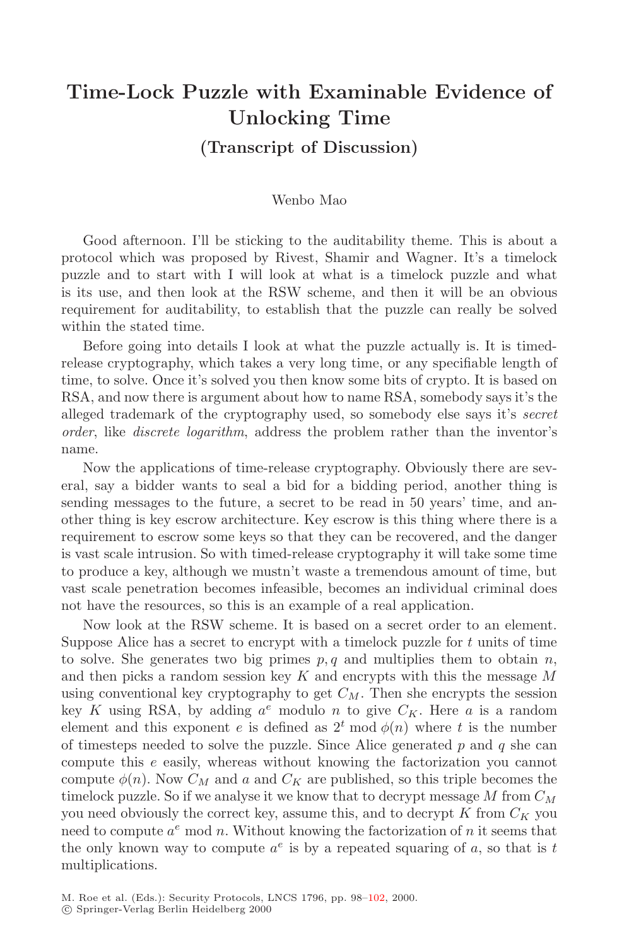## **Time-Lock Puzzle with Examinable Evidence of Unlocking Time (Transcript of Discussion)**

## Wenbo Mao

Good afternoon. I'll be sticking to the auditability theme. This is about a protocol which was proposed by Rivest, Shamir and Wagner. It's a timelock puzzle and to start with I will look at what is a timelock puzzle and what is its use, and then look at the RSW scheme, and then it will be an obvious requirement for auditability, to establish that the puzzle can really be solved within the stated time.

Before going into details I look at what the puzzle actually is. It is timedrelease cryptography, which takes a very long time, or any specifiable length of time, to solve. Once it's solved you then know some bits of crypto. It is based on RSA, and now there is argument about how to name RSA, somebody says it's the alleged trademark of the cryptography used, so somebody else says it's *secret order*, like *discrete logarithm*, address the problem rather than the inventor's name.

Now the applications of time-release cryptography. Obviously there are several, say a bidder wants to seal a bid for a bidding period, another thing is sending messages to the future, a secret to be read in 50 years' time, and another thing is key escrow architecture. Key escrow is this thing where there is a requirement to escrow some keys so that they can be recovered, and the danger is vast scale intrusion. So with timed-release cryptography it will take some time to produce a key, although we mustn't waste a tremendous amount of time, but vast scale penetration becomes infeasible, becomes an individual criminal does not have the resources, so this is an example of a real application.

Now look at the RSW scheme. It is based on a secret order to an element. Suppose Alice has a secret to encrypt with a timelock puzzle for  $t$  units of time to solve. She generates two big primes  $p, q$  and multiplies them to obtain n, and then picks a random session key  $K$  and encrypts with this the message  $M$ using conventional key cryptography to get  $C_M$ . Then she encrypts the session key K using RSA, by adding  $a^e$  modulo n to give  $C_K$ . Here a is a random element and this exponent e is defined as  $2^t \mod \phi(n)$  where t is the number of timesteps needed to solve the puzzle. Since Alice generated  $p$  and  $q$  she can compute this e easily, whereas without knowing the factorization you cannot compute  $\phi(n)$ . Now  $C_M$  and a and  $C_K$  are published, so this triple becomes the timelock puzzle. So if we analyse it we know that to decrypt message <sup>M</sup> from <sup>C</sup>*<sup>M</sup>* you need obviously the correct key, assume this, and to decrypt  $K$  from  $C_K$  you need to compute  $a^e$  mod n. Without knowing the factorization of n it seems that the only known way to compute  $a^e$  is by a repeated squaring of a, so that is t multiplications.

M. Roe et al. (Eds.): Security Protocols, LNCS 1796, pp. 98–102, 2000.

c Springer-Verlag Berlin Heidelberg 2000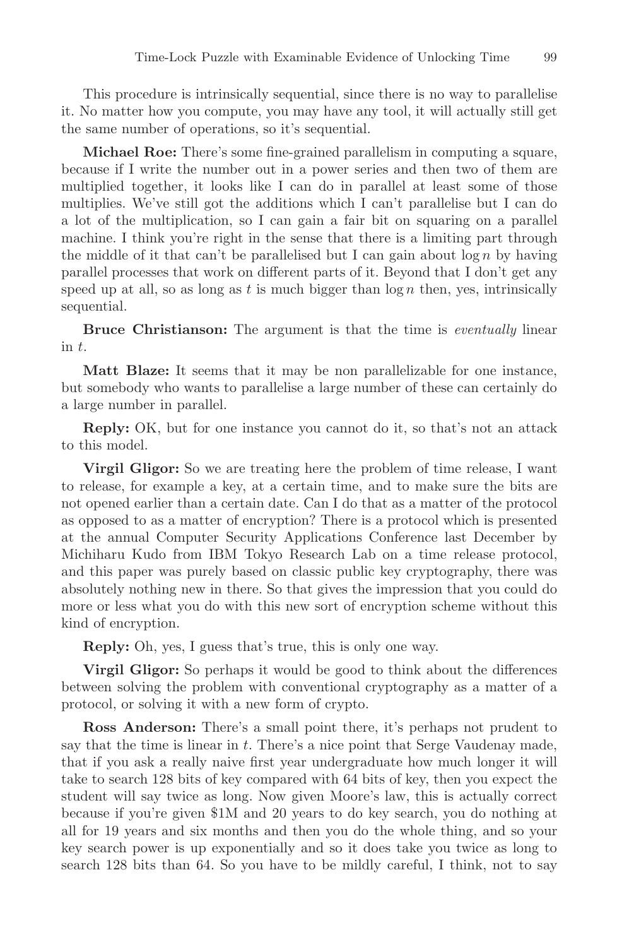This procedure is intrinsically sequential, since there is no way to parallelise it. No matter how you compute, you may have any tool, it will actually still get the same number of operations, so it's sequential.

**Michael Roe:** There's some fine-grained parallelism in computing a square, because if I write the number out in a power series and then two of them are multiplied together, it looks like I can do in parallel at least some of those multiplies. We've still got the additions which I can't parallelise but I can do a lot of the multiplication, so I can gain a fair bit on squaring on a parallel machine. I think you're right in the sense that there is a limiting part through the middle of it that can't be parallelised but I can gain about  $\log n$  by having parallel processes that work on different parts of it. Beyond that I don't get any speed up at all, so as long as t is much bigger than  $\log n$  then, yes, intrinsically sequential.

**Bruce Christianson:** The argument is that the time is *eventually* linear in t.

**Matt Blaze:** It seems that it may be non parallelizable for one instance, but somebody who wants to parallelise a large number of these can certainly do a large number in parallel.

**Reply:** OK, but for one instance you cannot do it, so that's not an attack to this model.

**Virgil Gligor:** So we are treating here the problem of time release, I want to release, for example a key, at a certain time, and to make sure the bits are not opened earlier than a certain date. Can I do that as a matter of the protocol as opposed to as a matter of encryption? There is a protocol which is presented at the annual Computer Security Applications Conference last December by Michiharu Kudo from IBM Tokyo Research Lab on a time release protocol, and this paper was purely based on classic public key cryptography, there was absolutely nothing new in there. So that gives the impression that you could do more or less what you do with this new sort of encryption scheme without this kind of encryption.

**Reply:** Oh, yes, I guess that's true, this is only one way.

**Virgil Gligor:** So perhaps it would be good to think about the differences between solving the problem with conventional cryptography as a matter of a protocol, or solving it with a new form of crypto.

**Ross Anderson:** There's a small point there, it's perhaps not prudent to say that the time is linear in t. There's a nice point that Serge Vaudenay made, that if you ask a really naive first year undergraduate how much longer it will take to search 128 bits of key compared with 64 bits of key, then you expect the student will say twice as long. Now given Moore's law, this is actually correct because if you're given \$1M and 20 years to do key search, you do nothing at all for 19 years and six months and then you do the whole thing, and so your key search power is up exponentially and so it does take you twice as long to search 128 bits than 64. So you have to be mildly careful, I think, not to say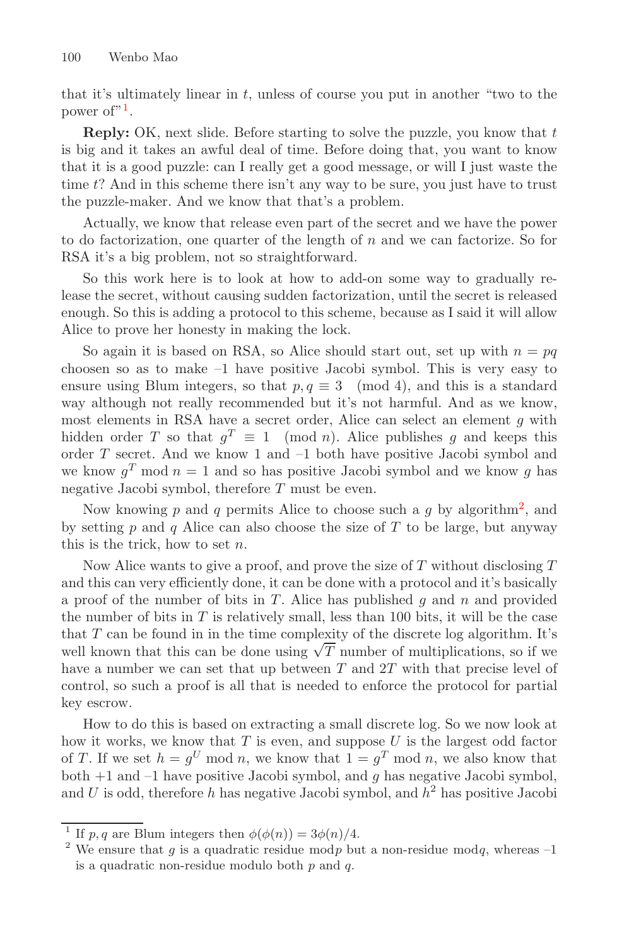that it's ultimately linear in  $t$ , unless of course you put in another "two to the power of  $1$ <sup>.</sup>

**Reply:** OK, next slide. Before starting to solve the puzzle, you know that t is big and it takes an awful deal of time. Before doing that, you want to know that it is a good puzzle: can I really get a good message, or will I just waste the time t? And in this scheme there isn't any way to be sure, you just have to trust the puzzle-maker. And we know that that's a problem.

Actually, we know that release even part of the secret and we have the power to do factorization, one quarter of the length of n and we can factorize. So for RSA it's a big problem, not so straightforward.

So this work here is to look at how to add-on some way to gradually release the secret, without causing sudden factorization, until the secret is released enough. So this is adding a protocol to this scheme, because as I said it will allow Alice to prove her honesty in making the lock.

So again it is based on RSA, so Alice should start out, set up with  $n = pq$ choosen so as to make –1 have positive Jacobi symbol. This is very easy to ensure using Blum integers, so that  $p, q \equiv 3 \pmod{4}$ , and this is a standard way although not really recommended but it's not harmful. And as we know, most elements in RSA have a secret order, Alice can select an element  $g$  with hidden order T so that  $g^T \equiv 1 \pmod{n}$ . Alice publishes g and keeps this order T secret. And we know 1 and –1 both have positive Jacobi symbol and we know  $q^T$  mod  $n = 1$  and so has positive Jacobi symbol and we know g has negative Jacobi symbol, therefore T must be even.

Now knowing p and q permits Alice to choose such a q by algorithm<sup>2</sup>, and by setting  $p$  and  $q$  Alice can also choose the size of  $T$  to be large, but anyway this is the trick, how to set  $n$ .

Now Alice wants to give a proof, and prove the size of  $T$  without disclosing  $T$ and this can very efficiently done, it can be done with a protocol and it's basically a proof of the number of bits in T. Alice has published q and n and provided the number of bits in  $T$  is relatively small, less than 100 bits, it will be the case that  $T$  can be found in in the time complexity of the discrete log algorithm. It's well known that this can be done using  $\sqrt{T}$  number of multiplications, so if we<br>have a number we can set that up between  $T$  and  $2T$  with that precise lavel of have a number we can set that up between  $T$  and  $2T$  with that precise level of control, so such a proof is all that is needed to enforce the protocol for partial key escrow.

How to do this is based on extracting a small discrete log. So we now look at how it works, we know that  $T$  is even, and suppose  $U$  is the largest odd factor of T. If we set  $h = q^U \mod n$ , we know that  $1 = q^T \mod n$ , we also know that both  $+1$  and  $-1$  have positive Jacobi symbol, and q has negative Jacobi symbol, and U is odd, therefore h has negative Jacobi symbol, and  $h^2$  has positive Jacobi

<sup>&</sup>lt;sup>1</sup> If p, q are Blum integers then  $\phi(\phi(n)) = 3\phi(n)/4$ .<br><sup>2</sup> We ensure that g is a quadratic residue modp but a non-residue modg, whereas –1 is a quadratic non-residue modulo both  $p$  and  $q$ .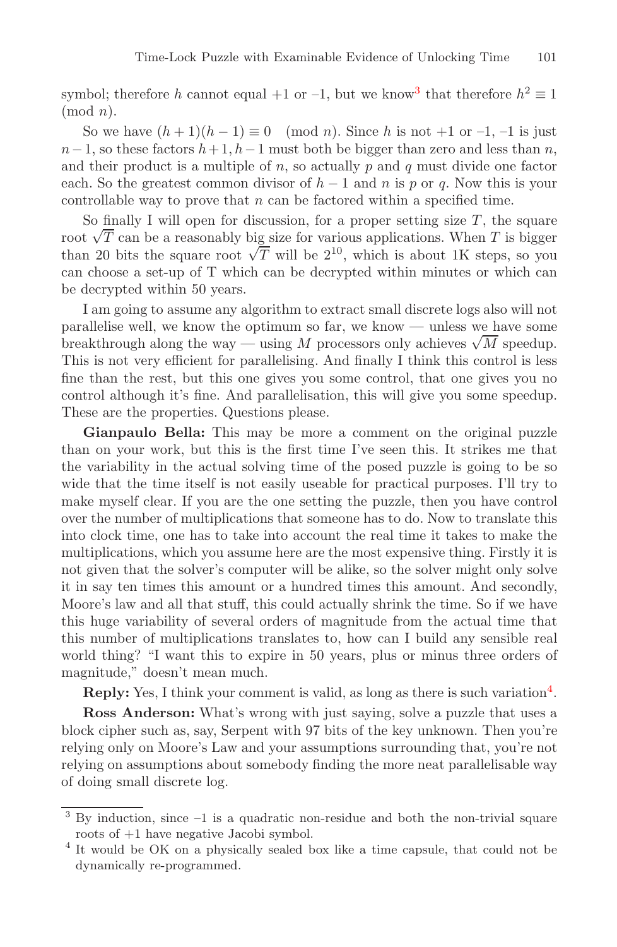symbol; therefore h cannot equal +1 or –1, but we know<sup>3</sup> that therefore  $h^2 \equiv 1$  $(mod n).$ 

So we have  $(h+1)(h-1) \equiv 0 \pmod{n}$ . Since h is not +1 or -1, -1 is just  $n-1$ , so these factors  $h+1$ ,  $h-1$  must both be bigger than zero and less than n, and their product is a multiple of  $n$ , so actually  $p$  and  $q$  must divide one factor each. So the greatest common divisor of  $h-1$  and n is p or q. Now this is your controllable way to prove that  $n$  can be factored within a specified time.

So finally I will open for discussion, for a proper setting size  $T$ , the square root  $\sqrt{T}$  can be a reasonably big size for various applications. When T is bigger<br>than 20 bits the square root  $\sqrt{T}$  will be 2<sup>10</sup> which is about 1K steps, so you than 20 bits the square root  $\sqrt{T}$  will be  $2^{10}$ , which is about 1K steps, so you can choose a set-up of T which can be decrypted within minutes or which can be decrypted within 50 years.

I am going to assume any algorithm to extract small discrete logs also will not parallelise well, we know the optimum so far, we know — unless we have some breakthrough along the way — using M processors only achieves  $\sqrt{M}$  speedup.<br>This is not very efficient for parallelising. And finally I think this control is less This is not very efficient for parallelising. And finally I think this control is less fine than the rest, but this one gives you some control, that one gives you no control although it's fine. And parallelisation, this will give you some speedup. These are the properties. Questions please.

**Gianpaulo Bella:** This may be more a comment on the original puzzle than on your work, but this is the first time I've seen this. It strikes me that the variability in the actual solving time of the posed puzzle is going to be so wide that the time itself is not easily useable for practical purposes. I'll try to make myself clear. If you are the one setting the puzzle, then you have control over the number of multiplications that someone has to do. Now to translate this into clock time, one has to take into account the real time it takes to make the multiplications, which you assume here are the most expensive thing. Firstly it is not given that the solver's computer will be alike, so the solver might only solve it in say ten times this amount or a hundred times this amount. And secondly, Moore's law and all that stuff, this could actually shrink the time. So if we have this huge variability of several orders of magnitude from the actual time that this number of multiplications translates to, how can I build any sensible real world thing? "I want this to expire in 50 years, plus or minus three orders of magnitude," doesn't mean much.

**Reply:** Yes, I think your comment is valid, as long as there is such variation<sup>4</sup>.

**Ross Anderson:** What's wrong with just saying, solve a puzzle that uses a block cipher such as, say, Serpent with 97 bits of the key unknown. Then you're relying only on Moore's Law and your assumptions surrounding that, you're not relying on assumptions about somebody finding the more neat parallelisable way of doing small discrete log.

<sup>3</sup> By induction, since –1 is a quadratic non-residue and both the non-trivial square roots of +1 have negative Jacobi symbol.

<sup>&</sup>lt;sup>4</sup> It would be OK on a physically sealed box like a time capsule, that could not be dynamically re-programmed.